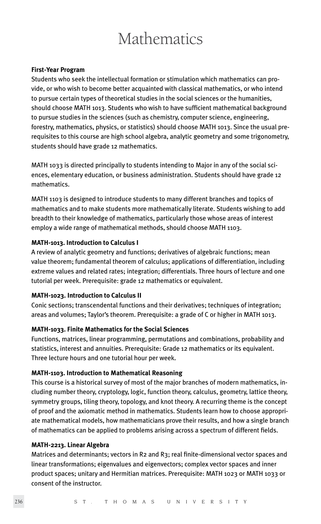# **Mathematics**

## **First-Year Program**

Students who seek the intellectual formation or stimulation which mathematics can provide, or who wish to become better acquainted with classical mathematics, or who intend to pursue certain types of theoretical studies in the social sciences or the humanities, should choose MATH 1013. Students who wish to have sufficient mathematical background to pursue studies in the sciences (such as chemistry, computer science, engineering, forestry, mathematics, physics, or statistics) should choose MATH 1013. Since the usual prerequisites to this course are high school algebra, analytic geometry and some trigonometry, students should have grade 12 mathematics.

MATH 1033 is directed principally to students intending to Major in any of the social sciences, elementary education, or business administration. Students should have grade 12 mathematics.

MATH 1103 is designed to introduce students to many different branches and topics of mathematics and to make students more mathematically literate. Students wishing to add breadth to their knowledge of mathematics, particularly those whose areas of interest employ a wide range of mathematical methods, should choose MATH 1103.

### **MATH-1013. Introduction to Calculus I**

A review of analytic geometry and functions; derivatives of algebraic functions; mean value theorem; fundamental theorem of calculus; applications of differentiation, including extreme values and related rates; integration; differentials. Three hours of lecture and one tutorial per week. Prerequisite: grade 12 mathematics or equivalent.

### **MATH-1023. Introduction to Calculus II**

Conic sections; transcendental functions and their derivatives; techniques of integration; areas and volumes; Taylor's theorem. Prerequisite: a grade of C or higher in MATH 1013.

### **MATH-1033. Finite Mathematics for the Social Sciences**

Functions, matrices, linear programming, permutations and combinations, probability and statistics, interest and annuities. Prerequisite: Grade 12 mathematics or its equivalent. Three lecture hours and one tutorial hour per week.

### **MATH-1103. Introduction to Mathematical Reasoning**

This course is a historical survey of most of the major branches of modern mathematics, including number theory, cryptology, logic, function theory, calculus, geometry, lattice theory, symmetry groups, tiling theory, topology, and knot theory. A recurring theme is the concept of proof and the axiomatic method in mathematics. Students learn how to choose appropriate mathematical models, how mathematicians prove their results, and how a single branch of mathematics can be applied to problems arising across a spectrum of different fields.

### **MATH-2213. Linear Algebra**

Matrices and determinants; vectors in R2 and R3; real finite-dimensional vector spaces and linear transformations; eigenvalues and eigenvectors; complex vector spaces and inner product spaces; unitary and Hermitian matrices. Prerequisite: MATH 1023 or MATH 1033 or consent of the instructor.